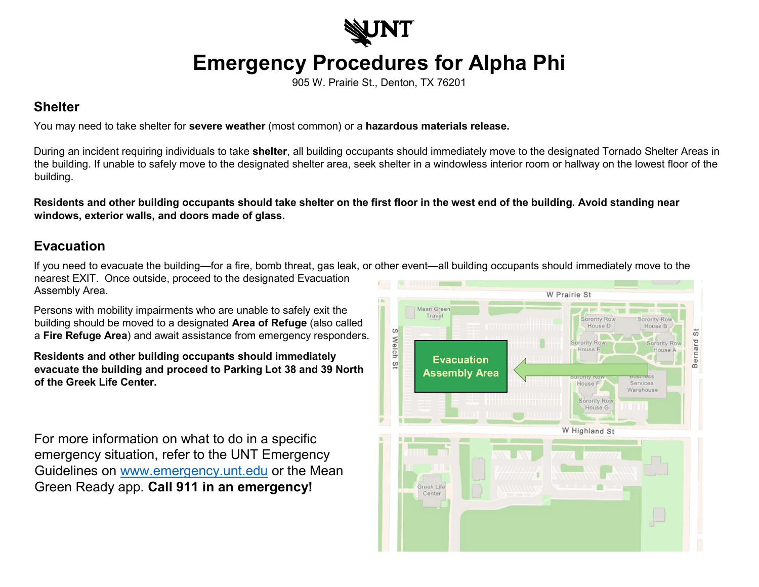

## **Emergency Procedures for Alpha Phi**

905 W. Prairie St., Denton, TX 76201

## **Shelter**

You may need to take shelter for **severe weather** (most common) or a **hazardous materials release.**

During an incident requiring individuals to take **shelter**, all building occupants should immediately move to the designated Tornado Shelter Areas in the building. If unable to safely move to the designated shelter area, seek shelter in a windowless interior room or hallway on the lowest floor of the building.

**Residents and other building occupants should take shelter on the first floor in the west end of the building. Avoid standing near windows, exterior walls, and doors made of glass.** 

## **Evacuation**

If you need to evacuate the building—for a fire, bomb threat, gas leak, or other event—all building occupants should immediately move to the nearest EXIT. Once outside, proceed to the designated Evacuation Assembly Area.

Persons with mobility impairments who are unable to safely exit the building should be moved to a designated **Area of Refuge** (also called a **Fire Refuge Area**) and await assistance from emergency responders.

**Residents and other building occupants should immediately evacuate the building and proceed to Parking Lot 38 and 39 North of the Greek Life Center.**

For more information on what to do in a specific emergency situation, refer to the UNT Emergency Guidelines on [www.emergency.unt.edu](http://www.emergency.unt.edu/) or the Mean Green Ready app. **Call 911 in an emergency!**

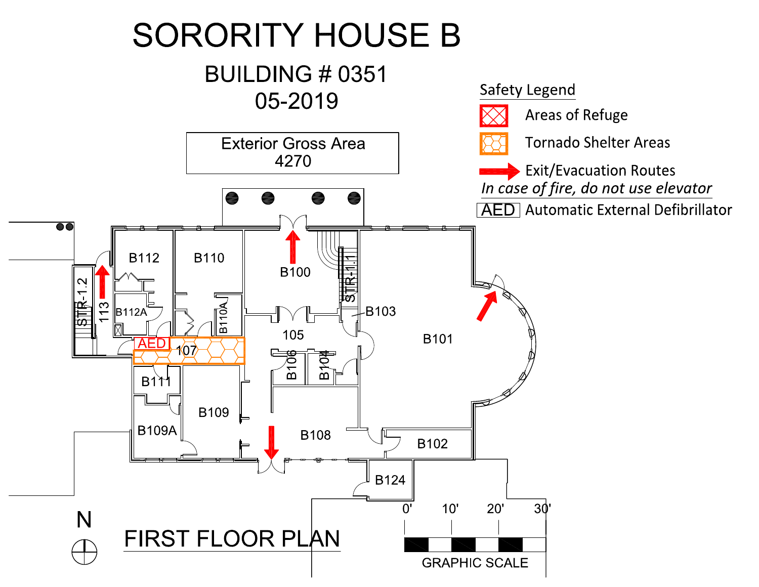